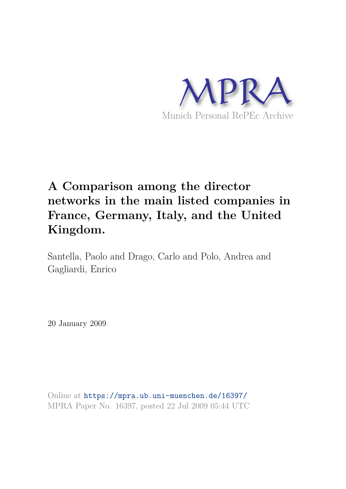

# **A Comparison among the director networks in the main listed companies in France, Germany, Italy, and the United Kingdom.**

Santella, Paolo and Drago, Carlo and Polo, Andrea and Gagliardi, Enrico

20 January 2009

Online at https://mpra.ub.uni-muenchen.de/16397/ MPRA Paper No. 16397, posted 22 Jul 2009 05:44 UTC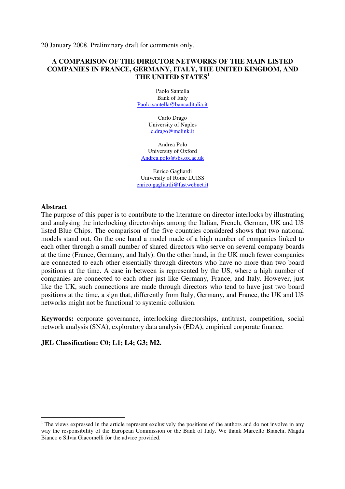20 January 2008. Preliminary draft for comments only.

# **A COMPARISON OF THE DIRECTOR NETWORKS OF THE MAIN LISTED COMPANIES IN FRANCE, GERMANY, ITALY, THE UNITED KINGDOM, AND THE UNITED STATES**<sup>1</sup>

Paolo Santella Bank of Italy Paolo.santella@bancaditalia.it

> Carlo Drago University of Naples c.drago@mclink.it

Andrea Polo University of Oxford Andrea.polo@sbs.ox.ac.uk

Enrico Gagliardi University of Rome LUISS enrico.gagliardi@fastwebnet.it

#### **Abstract**

 $\overline{a}$ 

The purpose of this paper is to contribute to the literature on director interlocks by illustrating and analysing the interlocking directorships among the Italian, French, German, UK and US listed Blue Chips. The comparison of the five countries considered shows that two national models stand out. On the one hand a model made of a high number of companies linked to each other through a small number of shared directors who serve on several company boards at the time (France, Germany, and Italy). On the other hand, in the UK much fewer companies are connected to each other essentially through directors who have no more than two board positions at the time. A case in between is represented by the US, where a high number of companies are connected to each other just like Germany, France, and Italy. However, just like the UK, such connections are made through directors who tend to have just two board positions at the time, a sign that, differently from Italy, Germany, and France, the UK and US networks might not be functional to systemic collusion.

**Keywords:** corporate governance, interlocking directorships, antitrust, competition, social network analysis (SNA), exploratory data analysis (EDA), empirical corporate finance.

# **JEL Classification: C0; L1; L4; G3; M2.**

 $1$  The views expressed in the article represent exclusively the positions of the authors and do not involve in any way the responsibility of the European Commission or the Bank of Italy. We thank Marcello Bianchi, Magda Bianco e Silvia Giacomelli for the advice provided.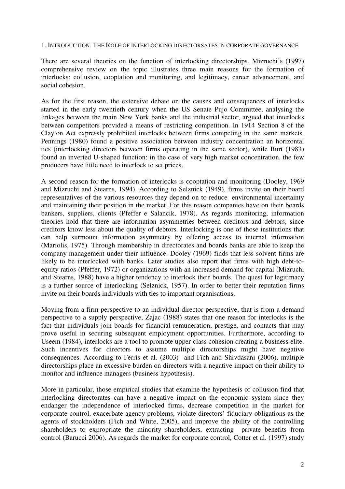1. INTRODUCTION. THE ROLE OF INTERLOCKING DIRECTORSATES IN CORPORATE GOVERNANCE

There are several theories on the function of interlocking directorships. Mizruchi's (1997) comprehensive review on the topic illustrates three main reasons for the formation of interlocks: collusion, cooptation and monitoring, and legitimacy, career advancement, and social cohesion.

As for the first reason, the extensive debate on the causes and consequences of interlocks started in the early twentieth century when the US Senate Pujo Committee, analysing the linkages between the main New York banks and the industrial sector, argued that interlocks between competitors provided a means of restricting competition. In 1914 Section 8 of the Clayton Act expressly prohibited interlocks between firms competing in the same markets. Pennings (1980) found a positive association between industry concentration an horizontal ties (interlocking directors between firms operating in the same sector), while Burt (1983) found an inverted U-shaped function: in the case of very high market concentration, the few producers have little need to interlock to set prices.

A second reason for the formation of interlocks is cooptation and monitoring (Dooley, 1969 and Mizruchi and Stearns, 1994). According to Selznick (1949), firms invite on their board representatives of the various resources they depend on to reduce environmental incertainty and maintaining their position in the market. For this reason companies have on their boards bankers, suppliers, clients (Pfeffer e Salancik, 1978). As regards monitoring, information theories hold that there are information asymmetries between creditors and debtors, since creditors know less about the quality of debtors. Interlocking is one of those institutions that can help surmount information asymmetry by offering access to internal information (Mariolis, 1975). Through membership in directorates and boards banks are able to keep the company management under their influence. Dooley (1969) finds that less solvent firms are likely to be interlocked with banks. Later studies also report that firms with high debt-toequity ratios (Pfeffer, 1972) or organizations with an increased demand for capital (Mizruchi and Stearns, 1988) have a higher tendency to interlock their boards. The quest for legitimacy is a further source of interlocking (Selznick, 1957). In order to better their reputation firms invite on their boards individuals with ties to important organisations.

Moving from a firm perspective to an individual director perspective, that is from a demand perspective to a supply perspective, Zajac (1988) states that one reason for interlocks is the fact that individuals join boards for financial remuneration, prestige, and contacts that may prove useful in securing subsequent employment opportunities. Furthermore, according to Useem (1984), interlocks are a tool to promote upper-class cohesion creating a business elite. Such incentives for directors to assume multiple directorships might have negative consequences. According to Ferris et al. (2003) and Fich and Shivdasani (2006), multiple directorships place an excessive burden on directors with a negative impact on their ability to monitor and influence managers (business hypothesis).

More in particular, those empirical studies that examine the hypothesis of collusion find that interlocking directorates can have a negative impact on the economic system since they endanger the independence of interlocked firms, decrease competition in the market for corporate control, exacerbate agency problems, violate directors' fiduciary obligations as the agents of stockholders (Fich and White, 2005), and improve the ability of the controlling shareholders to expropriate the minority shareholders, extracting private benefits from control (Barucci 2006). As regards the market for corporate control, Cotter et al. (1997) study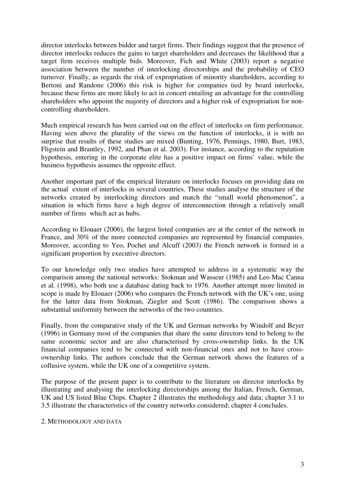director interlocks between bidder and target firms. Their findings suggest that the presence of director interlocks reduces the gains to target shareholders and decreases the likelihood that a target firm receives multiple bids. Moreover, Fich and White (2003) report a negative association between the number of interlocking directorships and the probability of CEO turnover. Finally, as regards the risk of expropriation of minority shareholders, according to Bertoni and Randone (2006) this risk is higher for companies tied by board interlocks, because these firms are more likely to act in concert entailing an advantage for the controlling shareholders who appoint the majority of directors and a higher risk of expropriation for noncontrolling shareholders.

Much empirical research has been carried out on the effect of interlocks on firm performance. Having seen above the plurality of the views on the function of interlocks, it is with no surprise that results of these studies are mixed (Bunting, 1976, Pennings, 1980, Burt, 1983, Fligstein and Brantley, 1992, and Phan et al. 2003). For instance, according to the reputation hypothesis, entering in the corporate elite has a positive impact on firms' value, while the business hypothesis assumes the opposite effect.

Another important part of the empirical literature on interlocks focuses on providing data on the actual extent of interlocks in several countries. These studies analyse the structure of the networks created by interlocking directors and match the "small world phenomenon", a situation in which firms have a high degree of interconnection through a relatively small number of firms which act as hubs.

According to Elouaer (2006), the largest listed companies are at the center of the network in France, and 30% of the more connected companies are represented by financial companies. Moreover, according to Yeo, Pochet and Alcuff (2003) the French network is formed in a significant proportion by executive directors.

To our knowledge only two studies have attempted to address in a systematic way the comparison among the national networks: Stokman and Wasseur (1985) and Leo Mac Canna et al. (1998), who both use a database dating back to 1976. Another attempt more limited in scope is made by Elouaer (2006) who compares the French network with the UK's one, using for the latter data from Stokman, Ziegler and Scott (1986). The comparison shows a substantial uniformity between the networks of the two countries.

Finally, from the comparative study of the UK and German networks by Windolf and Beyer (1996) in Germany most of the companies that share the same directors tend to belong to the same economic sector and are also characterised by cross-ownership links. In the UK financial companies tend to be connected with non-financial ones and not to have crossownership links. The authors conclude that the German network shows the features of a collusive system, while the UK one of a competitive system.

The purpose of the present paper is to contribute to the literature on director interlocks by illustrating and analysing the interlocking directorships among the Italian, French, German, UK and US listed Blue Chips. Chapter 2 illustrates the methodology and data; chapter 3.1 to 3.5 illustrate the characteristics of the country networks considered; chapter 4 concludes.

#### 2. METHODOLOGY AND DATA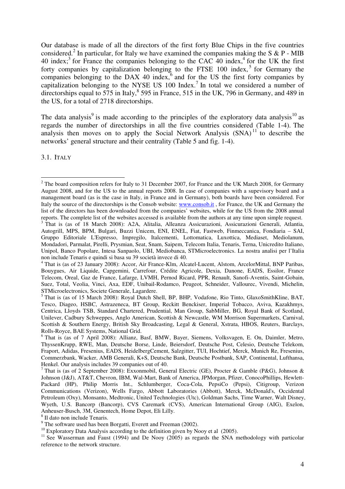Our database is made of all the directors of the first forty Blue Chips in the five countries considered.<sup>2</sup> In particular, for Italy we have examined the companies making the S & P - MIB 40 index;<sup>3</sup> for France the companies belonging to the CAC 40 index,<sup>4</sup> for the UK the first forty companies by capitalization belonging to the FTSE  $100$  index,<sup>5</sup> for Germany the companies belonging to the DAX 40 index, $6$  and for the US the first forty companies by capitalization belonging to the NYSE US  $100$  Index.<sup>7</sup> In total we considered a number of directorships equal to 575 in Italy,  $8$  595 in France, 515 in the UK, 796 in Germany, and 489 in the US, for a total of 2718 directorships.

The data analysis<sup>9</sup> is made according to the principles of the exploratory data analysis<sup>10</sup> as regards the number of directorships in all the five countries considered (Table 1-4). The analysis then moves on to apply the Social Network Analysis  $(SNA)$ <sup>11</sup> to describe the networks' general structure and their centrality (Table 5 and fig. 1-4).

3.1. ITALY

<sup>&</sup>lt;sup>2</sup> The board composition refers for Italy to 31 December 2007, for France and the UK March 2008, for Germany August 2008, and for the US to the annual reports 2008. In case of companies with a supevisory board and a management board (as is the case in Italy, in France and in Germany), both boards have been considered. For Italy the source of the directorships is the Consob website: www.consob.it, for France, the UK and Germany the list of the directors has been downloaded from the companies' websites, while for the US from the 2008 annual reports. The complete list of the websites accessed is available from the authors at any time upon simple request.

<sup>&</sup>lt;sup>3</sup> That is (as of 18 March 2008): A2A, Alitalia, Alleanza Assicurazioni, Assicurazioni Generali, Atlantia, Autogrill, MPS, BPM, Bulgari, Buzzi Unicem, ENI, ENEL, Fiat, Fastweb, Finmeccanica, Fondiaria – SAI, Gruppo Editoriale L'Espresso, Impregilo, Italcementi, Lottomatica, Luxottica, Mediaset, Mediolanum, Mondadori, Parmalat, Pirelli, Prysmian, Seat, Snam, Saipem, Telecom Italia, Tenaris, Terna, Unicredito Italiano, Unipol, Banco Popolare, Intesa Sanpaolo, UBI, Mediobanca, STMicroelectronics. La nostra analisi per l'Italia non include Tenaris e quindi si basa su 39 società invece di 40.

<sup>&</sup>lt;sup>4</sup> That is (as of 23 January 2008): Accor, Air France-Klm, Alcatel-Lucent, Alstom, ArcelorMittal, BNP Paribas, Bouygues, Air Liquide, Capgemini, Carrefour, Crédite Agricole, Dexia, Danone, EADS, Essilor, France Telecom, Oreal, Gaz de France, Lafarge, LVMH, Pernod Ricard, PPR, Renault, Sanofi-Aventis, Saint-Gobain, Suez, Total, Veolia, Vinci, Axa, EDF, Unibail-Rodamco, Peugeot, Schneider, Vallourec, Vivendi, Michelin, STMicroelectronics, Societe Generale, Lagardere.

<sup>&</sup>lt;sup>5</sup> That is (as of 15 March 2008): Royal Dutch Shell, BP, BHP, Vodafone, Rio Tinto, GlaxoSmithKline, BAT, Tesco, Diageo, HSBC, Astrazeneca, BT Group, Reckitt Benckiser, Imperial Tobacco, Aviva, Kazakhmys, Centrica, Lloyds TSB, Standard Chartered, Prudential, Man Group, SabMiller, BG, Royal Bank of Scotland, Unilever, Cadbury Schweppes, Anglo American, Scottish & Newcastle, WM Morrison Supermarkets, Carnival, Scottish & Southern Energy, British Sky Broadcasting, Legal & General, Xstrata, HBOS, Reuters, Barclays, Rolls-Royce, BAE Systems, National Grid.

<sup>&</sup>lt;sup>6</sup> That is (as of 7 April 2008): Allianz, Basf, BMW, Bayer, Siemens, Volksvagen, E. On, Daimler, Metro, ThyssenKrupp, RWE, Man, Deutsche Borse, Linde, Beiersdorf, Deutsche Post, Celesio, Deutsche Telekom, Fraport, Adidas, Fresenius, EADS, HeidelbergCement, Salzgitter, TUI, Hochtief, Merck, Munich Re, Fresenius, Commerzbank, Wacker, AMB Generali, K+S, Deutsche Bank, Deutsche Postbank, SAP, Continental, Lufthansa, Henkel. Our analysis includes 39 companies out of 40.

<sup>&</sup>lt;sup>7</sup> That is (as of 2 September 2008): Exxonmobil, General Electric (GE), Procter & Gamble (P&G), Johnson & Johnson (J&J), AT&T, Chevron, IBM, Wal-Mart, Bank of America, JPMorgan, Pfizer, ConocoPhillips, Hewlett-Packard (HP), Philip Morris Int., Schlumberger, Coca-Cola, PepsiCo (Pepsi), Citigroup, Verizon Communications (Verizon), Wells Fargo, Abbott Laboratories (Abbott), Merck, McDonald's, Occidental Petroleum (Oxy), Monsanto, Medtronic, United Technologies (Utc), Goldman Sachs, Time Warner, Walt Disney, Wyeth, U.S. Bancorp (Bancorp), CVS Caremark (CVS), American International Group (AIG), Exelon, Anheuser-Busch, 3M, Genentech, Home Depot, Eli Lilly.

<sup>8</sup> Il dato non include Tenaris.

 $9$  The software used has been Borgatti, Everett and Freeman (2002).

<sup>&</sup>lt;sup>10</sup> Exploratory Data Analysis according to the definition given by Nooy et al (2005).

<sup>&</sup>lt;sup>11</sup> See Wasserman and Faust (1994) and De Nooy (2005) as regards the SNA methodology with particolar reference to the network structure.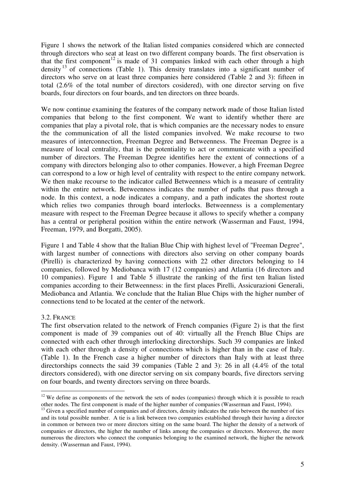Figure 1 shows the network of the Italian listed companies considered which are connected through directors who seat at least on two different company boards. The first observation is that the first component<sup>12</sup> is made of 31 companies linked with each other through a high density<sup>13</sup> of connections (Table 1). This density translates into a significant number of directors who serve on at least three companies here considered (Table 2 and 3): fifteen in total (2.6% of the total number of directors cosidered), with one director serving on five boards, four directors on four boards, and ten directors on three boards.

We now continue examining the features of the company network made of those Italian listed companies that belong to the first component. We want to identify whether there are companies that play a pivotal role, that is which companies are the necessary nodes to ensure the the communication of all the listed companies involved. We make recourse to two measures of interconnection, Freeman Degree and Betweenness. The Freeman Degree is a measure of local centrality, that is the potentiality to act or communicate with a specified number of directors. The Freeman Degree identifies here the extent of connections of a company with directors belonging also to other companies. However, a high Freeman Degree can correspond to a low or high level of centrality with respect to the entire company network. We then make recourse to the indicator called Betweenness which is a measure of centrality within the entire network. Betweenness indicates the number of paths that pass through a node. In this context, a node indicates a company, and a path indicates the shortest route which relies two companies through board interlocks. Betweenness is a complementary measure with respect to the Freeman Degree because it allows to specify whether a company has a central or peripheral position within the entire network (Wasserman and Faust, 1994, Freeman, 1979, and Borgatti, 2005).

Figure 1 and Table 4 show that the Italian Blue Chip with highest level of "Freeman Degree", with largest number of connections with directors also serving on other company boards (Pirelli) is characterized by having connections with 22 other directors belonging to 14 companies, followed by Mediobanca with 17 (12 companies) and Atlantia (16 directors and 10 companies). Figure 1 and Table 5 illustrate the ranking of the first ten Italian listed companies according to their Betweenness: in the first places Pirelli, Assicurazioni Generali, Mediobanca and Atlantia. We conclude that the Italian Blue Chips with the higher number of connections tend to be located at the center of the network.

# 3.2. FRANCE

The first observation related to the network of French companies (Figure 2) is that the first component is made of 39 companies out of 40: virtually all the French Blue Chips are connected with each other through interlocking directorships. Such 39 companies are linked with each other through a density of connections which is higher than in the case of Italy. (Table 1). In the French case a higher number of directors than Italy with at least three directorships connects the said 39 companies (Table 2 and 3): 26 in all (4.4% of the total directors considered), with one director serving on six company boards, five directors serving on four boards, and twenty directors serving on three boards.

 $\overline{a}$  $12$  We define as components of the network the sets of nodes (companies) through which it is possible to reach other nodes. The first component is made of the higher number of companies (Wasserman and Faust, 1994).

 $<sup>13</sup>$  Given a specified number of companies and of directors, density indicates the ratio between the number of ties</sup> and its total possible number. A tie is a link between two companies established through their having a director in common or between two or more directors sitting on the same board. The higher the density of a network of companies or directors, the higher the number of links among the companies or directors. Moreover, the more numerous the directors who connect the companies belonging to the examined network, the higher the network density. (Wasserman and Faust, 1994).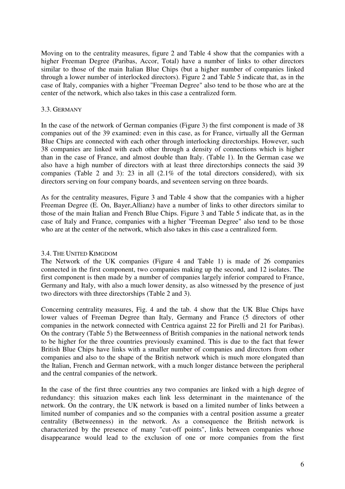Moving on to the centrality measures, figure 2 and Table 4 show that the companies with a higher Freeman Degree (Paribas, Accor, Total) have a number of links to other directors similar to those of the main Italian Blue Chips (but a higher number of companies linked through a lower number of interlocked directors). Figure 2 and Table 5 indicate that, as in the case of Italy, companies with a higher "Freeman Degree" also tend to be those who are at the center of the network, which also takes in this case a centralized form.

## 3.3. GERMANY

In the case of the network of German companies (Figure 3) the first component is made of 38 companies out of the 39 examined: even in this case, as for France, virtually all the German Blue Chips are connected with each other through interlocking directorships. However, such 38 companies are linked with each other through a density of connections which is higher than in the case of France, and almost double than Italy. (Table 1). In the German case we also have a high number of directors with at least three directorships connects the said 39 companies (Table 2 and 3): 23 in all (2.1% of the total directors considered), with six directors serving on four company boards, and seventeen serving on three boards.

As for the centrality measures, Figure 3 and Table 4 show that the companies with a higher Freeman Degree (E. On, Bayer,Allianz) have a number of links to other directors similar to those of the main Italian and French Blue Chips. Figure 3 and Table 5 indicate that, as in the case of Italy and France, companies with a higher "Freeman Degree" also tend to be those who are at the center of the network, which also takes in this case a centralized form.

# 3.4. THE UNITED KIMGDOM

The Network of the UK companies (Figure 4 and Table 1) is made of 26 companies connected in the first component, two companies making up the second, and 12 isolates. The first component is then made by a number of companies largely inferior compared to France, Germany and Italy, with also a much lower density, as also witnessed by the presence of just two directors with three directorships (Table 2 and 3).

Concerning centrality measures, Fig. 4 and the tab. 4 show that the UK Blue Chips have lower values of Freeman Degree than Italy, Germany and France (5 directors of other companies in the network connected with Centrica against 22 for Pirelli and 21 for Paribas). On the contrary (Table 5) the Betweenness of British companies in the national network tends to be higher for the three countries previously examined. This is due to the fact that fewer British Blue Chips have links with a smaller number of companies and directors from other companies and also to the shape of the British network which is much more elongated than the Italian, French and German network, with a much longer distance between the peripheral and the central companies of the network.

In the case of the first three countries any two companies are linked with a high degree of redundancy: this situazion makes each link less determinant in the maintenance of the network. On the contrary, the UK network is based on a limited number of links between a limited number of companies and so the companies with a central position assume a greater centrality (Betweenness) in the network. As a consequence the British network is characterized by the presence of many "cut-off points", links between companies whose disappearance would lead to the exclusion of one or more companies from the first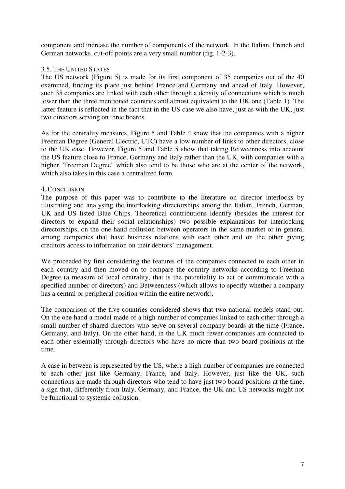component and increase the number of components of the network. In the Italian, French and German networks, cut-off points are a very small number (fig. 1-2-3).

# 3.5. THE UNITED STATES

The US network (Figure 5) is made for its first component of 35 companies out of the 40 examined, finding its place just behind France and Germany and ahead of Italy. However, such 35 companies are linked with each other through a density of connections which is much lower than the three mentioned countries and almost equivalent to the UK one (Table 1). The latter feature is reflected in the fact that in the US case we also have, just as with the UK, just two directors serving on three boards.

As for the centrality measures, Figure 5 and Table 4 show that the companies with a higher Freeman Degree (General Electric, UTC) have a low number of links to other directors, close to the UK case. However, Figure 5 and Table 5 show that taking Betweenness into account the US feature close to France, Germany and Italy rather than the UK, with companies with a higher "Freeman Degree" which also tend to be those who are at the center of the network, which also takes in this case a centralized form.

# 4. CONCLUSION

The purpose of this paper was to contribute to the literature on director interlocks by illustrating and analysing the interlocking directorships among the Italian, French, German, UK and US listed Blue Chips. Theoretical contributions identify (besides the interest for directors to expand their social relationships) two possible explanations for interlocking directorships, on the one hand collusion between operators in the same market or in general among companies that have business relations with each other and on the other giving creditors access to information on their debtors' management.

We proceeded by first considering the features of the companies connected to each other in each country and then moved on to compare the country networks according to Freeman Degree (a measure of local centrality, that is the potentiality to act or communicate with a specified number of directors) and Betweenness (which allows to specify whether a company has a central or peripheral position within the entire network).

The comparison of the five countries considered shows that two national models stand out. On the one hand a model made of a high number of companies linked to each other through a small number of shared directors who serve on several company boards at the time (France, Germany, and Italy). On the other hand, in the UK much fewer companies are connected to each other essentially through directors who have no more than two board positions at the time.

A case in between is represented by the US, where a high number of companies are connected to each other just like Germany, France, and Italy. However, just like the UK, such connections are made through directors who tend to have just two board positions at the time, a sign that, differently from Italy, Germany, and France, the UK and US networks might not be functional to systemic collusion.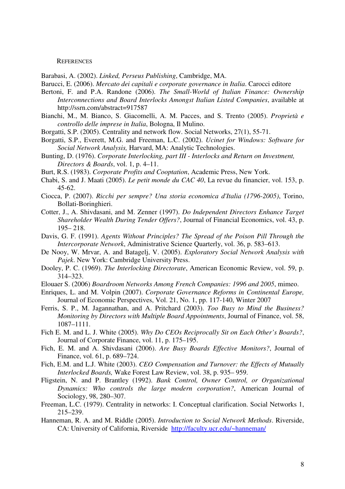#### **REFERENCES**

Barabasi, A. (2002). *Linked, Perseus Publishing*, Cambridge, MA.

- Barucci, E. (2006). *Mercato dei capitali e corporate governance in Italia*. Carocci editore
- Bertoni, F. and P.A. Randone (2006). *The Small-World of Italian Finance: Ownership Interconnections and Board Interlocks Amongst Italian Listed Companies*, available at http://ssrn.com/abstract=917587
- Bianchi, M., M. Bianco, S. Giacomelli, A. M. Pacces, and S. Trento (2005). *Proprietà e controllo delle imprese in Italia*, Bologna, Il Mulino.
- Borgatti, S.P. (2005). Centrality and network flow. Social Networks, 27(1), 55-71.
- Borgatti, S.P., Everett, M.G. and Freeman, L.C. (2002). *Ucinet for Windows: Software for Social Network Analysis,* Harvard, MA: Analytic Technologies.
- Bunting, D. (1976). *Corporate Interlocking, part III Interlocks and Return on Investment, Directors & Boards*, vol. 1, p. 4–11.
- Burt, R.S. (1983). *Corporate Profits and Cooptation*, Academic Press, New York.
- Chabi, S. and J. Maati (2005). *Le petit monde du CAC 40*, La revue du financier, vol. 153, p. 45-62.
- Ciocca, P. (2007). *Ricchi per sempre? Una storia economica d'Italia (1796-2005)*, Torino, Bollati-Boringhieri.
- Cotter, J., A. Shivdasani, and M. Zenner (1997). *Do Independent Directors Enhance Target Shareholder Wealth During Tender Offers?*, Journal of Financial Economics, vol. 43, p. 195– 218.
- Davis, G. F. (1991). *Agents Without Principles? The Spread of the Poison Pill Through the Intercorporate Network*, Administrative Science Quarterly, vol. 36, p. 583–613.
- De Nooy, W. Mrvar, A. and Batagelj, V. (2005). *Exploratory Social Network Analysis with Pajek*. New York: Cambridge University Press.
- Dooley, P. C. (1969). *The Interlocking Directorate*, American Economic Review, vol. 59, p. 314–323.
- Elouaer S. (2006) *Boardroom Networks Among French Companies: 1996 and 2005*, mimeo.
- Enriques, L. and M. Volpin (2007). *Corporate Governance Reforms in Continental Europe,* Journal of Economic Perspectives, Vol. 21, No. 1, pp. 117-140, Winter 2007
- Ferris, S. P., M. Jagannathan, and A. Pritchard (2003). *Too Busy to Mind the Business? Monitoring by Directors with Multiple Board Appointments*, Journal of Finance, vol. 58, 1087–1111.
- Fich E. M. and L. J. White (2005). *Why Do CEOs Reciprocally Sit on Each Other's Boards?*, Journal of Corporate Finance, vol. 11, p. 175–195.
- Fich, E. M. and A. Shivdasani (2006). *Are Busy Boards Effective Monitors?*, Journal of Finance, vol. 61, p. 689–724.
- Fich, E.M. and L.J. White (2003). *CEO Compensation and Turnover: the Effects of Mutually Interlocked Boards,* Wake Forest Law Review, vol. 38, p. 935– 959.
- Fligstein, N. and P. Brantley (1992). *Bank Control, Owner Control, or Organizational Dynamics: Who controls the large modern corporation?*, American Journal of Sociology, 98, 280–307.
- Freeman, L.C. (1979). Centrality in networks: I. Conceptual clarification. Social Networks 1, 215–239.
- Hanneman, R. A. and M. Riddle (2005). *Introduction to Social Network Methods*. Riverside, CA: University of California, Riverside http://faculty.ucr.edu/~hanneman/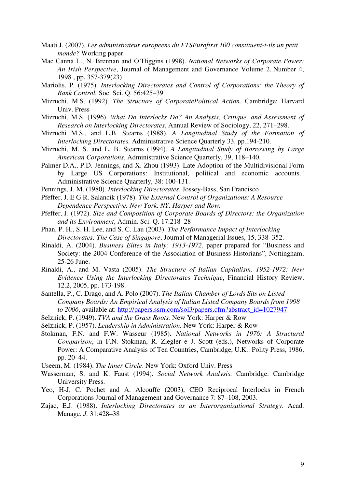- Maati J. (2007). *Les administrateur europeens du FTSEurofirst 100 constituent-t-ils un petit monde?* Working paper.
- Mac Canna L., N. Brennan and O'Higgins (1998). *National Networks of Corporate Power: An Irish Perspective*, Journal of Management and Governance Volume 2, Number 4, 1998 , pp. 357-379(23)
- Mariolis, P. (1975). *Interlocking Directorates and Control of Corporations: the Theory of Bank Control.* Soc. Sci. Q. 56:425–39
- Mizruchi, M.S. (1992). *The Structure of CorporatePolitical Action*. Cambridge: Harvard Univ. Press
- Mizruchi, M.S. (1996). *What Do Interlocks Do? An Analysis, Critique, and Assessment of Research on Interlocking Directorates*, Annual Review of Sociology, 22, 271–298.
- Mizruchi M.S., and L.B. Stearns (1988). *A Longitudinal Study of the Formation of Interlocking Directorates,* Administrative Science Quarterly 33, pp.194-210.
- Mizruchi, M. S. and L. B. Stearns (1994). *A Longitudinal Study of Borrowing by Large American Corporations*, Administrative Science Quarterly, 39, 118–140.
- Palmer D.A., P.D. Jennings, and X. Zhou (1993). Late Adoption of the Multidivisional Form by Large US Corporations: Institutional, political and economic accounts." Administrative Science Quarterly, 38: 100-131.
- Pennings, J. M. (1980). *Interlocking Directorates*, Jossey-Bass, San Francisco
- Pfeffer, J. E G.R. Salancik (1978). *The External Control of Organizations: A Resource Dependence Perspective. New York, NY, Harper and Row.*
- Pfeffer, J. (1972). *Size and Composition of Corporate Boards of Directors: the Organization and its Environment*, Admin. Sci. Q. 17:218–28
- Phan, P. H., S. H. Lee, and S. C. Lau (2003). *The Performance Impact of Interlocking Directorates: The Case of Singapore*, Journal of Managerial Issues, 15, 338–352.
- Rinaldi, A. (2004). *Business Elites in Italy: 1913-1972*, paper prepared for "Business and Society: the 2004 Conference of the Association of Business Historians", Nottingham, 25-26 June.
- Rinaldi, A., and M. Vasta (2005). *The Structure of Italian Capitalism, 1952-1972: New Evidence Using the Interlocking Directorates Technique*, Financial History Review, 12.2, 2005, pp. 173-198.
- Santella, P., C. Drago, and A. Polo (2007). *The Italian Chamber of Lords Sits on Listed Company Boards: An Empirical Analysis of Italian Listed Company Boards from 1998 to 2006*, available at: http://papers.ssrn.com/sol3/papers.cfm?abstract\_id=1027947
- Selznick, P. (1949). *TVA and the Grass Roots.* New York: Harper & Row
- Selznick, P. (1957). *Leadership in Administration.* New York: Harper & Row
- Stokman, F.N. and F.W. Wasseur (1985). *National Networks in 1976: A Structural Comparison*, in F.N. Stokman, R. Ziegler e J. Scott (eds.), Networks of Corporate Power: A Comparative Analysis of Ten Countries, Cambridge, U.K.: Polity Press, 1986, pp. 20–44.
- Useem, M. (1984). *The Inner Circle*. New York: Oxford Univ. Press
- Wasserman, S. and K. Faust (1994). *Social Network Analysis.* Cambridge: Cambridge University Press.
- Yeo, H-J, C. Pochet and A. Alcouffe (2003), CEO Reciprocal Interlocks in French Corporations Journal of Management and Governance 7: 87–108, 2003.
- Zajac, E.J. (1988). *Interlocking Directorates as an Interorganizational Strategy*. Acad. Manage. *J.* 31:428–38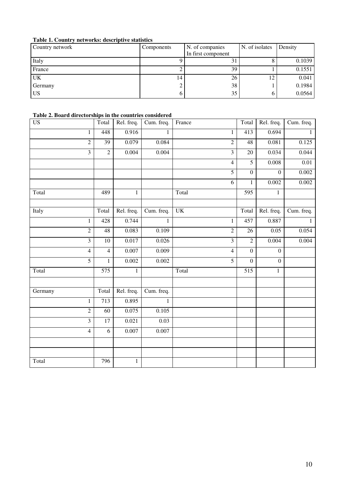### **Table 1. Country networks: descriptive statistics**

| Country network | Components | N. of companies    | N. of isolates | Density |
|-----------------|------------|--------------------|----------------|---------|
|                 |            | In first component |                |         |
| Italy           |            | ЭI                 |                | 0.1039  |
| France          |            | 39                 |                | 0.1551  |
| UK              | 14         | 26                 | 12             | 0.041   |
| Germany         |            | 38                 |                | 0.1984  |
| <b>US</b>       |            | 35                 |                | 0.0564  |

### **Table 2. Board directorships in the countries considered**

| <b>US</b>      | Total          | Rel. freq.   | Cum. freq.   | France         | Total            | Rel. freq.       | Cum. freq.   |
|----------------|----------------|--------------|--------------|----------------|------------------|------------------|--------------|
| 1              | 448            | 0.916        | 1            | 1              | 413              | 0.694            | $\mathbf{1}$ |
| $\overline{2}$ | 39             | 0.079        | 0.084        | $\overline{2}$ | 48               | 0.081            | 0.125        |
| 3              | $\sqrt{2}$     | 0.004        | 0.004        | $\overline{3}$ | 20               | 0.034            | 0.044        |
|                |                |              |              | 4              | 5                | $0.008\,$        | 0.01         |
|                |                |              |              | 5              | $\boldsymbol{0}$ | $\boldsymbol{0}$ | 0.002        |
|                |                |              |              | 6              | $\mathbf{1}$     | 0.002            | 0.002        |
| Total          | 489            | 1            |              | Total          | 595              | 1                |              |
|                |                |              |              |                |                  |                  |              |
| Italy          | Total          | Rel. freq.   | Cum. freq.   | <b>UK</b>      | Total            | Rel. freq.       | Cum. freq.   |
| $\mathbf{1}$   | 428            | 0.744        | $\mathbf{1}$ | $\mathbf{1}$   | 457              | 0.887            | $\mathbf{1}$ |
| $\overline{2}$ | 48             | 0.083        | 0.109        | $\overline{2}$ | 26               | 0.05             | 0.054        |
| $\overline{3}$ | $10\,$         | 0.017        | 0.026        | $\overline{3}$ | $\overline{2}$   | 0.004            | 0.004        |
| $\overline{4}$ | $\overline{4}$ | 0.007        | 0.009        | 4              | $\boldsymbol{0}$ | $\overline{0}$   |              |
| $\overline{5}$ | $\mathbf{1}$   | 0.002        | 0.002        | $\overline{5}$ | $\boldsymbol{0}$ | $\mathbf{0}$     |              |
| Total          | 575            | $\mathbf{1}$ |              | Total          | 515              | $\mathbf{1}$     |              |
|                |                |              |              |                |                  |                  |              |
| Germany        | Total          | Rel. freq.   | Cum. freq.   |                |                  |                  |              |
| $\mathbf{1}$   | 713            | 0.895        | $\mathbf{1}$ |                |                  |                  |              |
| $\overline{2}$ | 60             | 0.075        | 0.105        |                |                  |                  |              |
| 3              | 17             | 0.021        | 0.03         |                |                  |                  |              |
| $\overline{4}$ | 6              | $0.007\,$    | $0.007\,$    |                |                  |                  |              |
|                |                |              |              |                |                  |                  |              |
|                |                |              |              |                |                  |                  |              |
| Total          | 796            | $\mathbf{1}$ |              |                |                  |                  |              |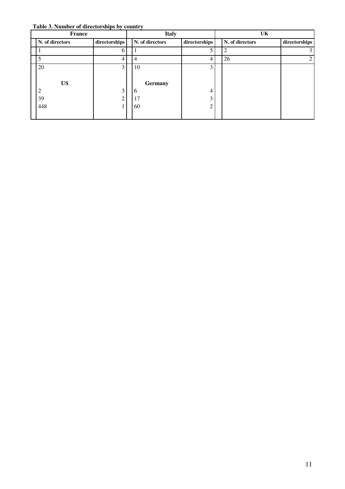**Table 3. Number of directorships by country** 

| <b>France</b> |                 |               | <b>Italy</b> |                 |               | UK |                 |  |               |
|---------------|-----------------|---------------|--------------|-----------------|---------------|----|-----------------|--|---------------|
|               | N. of directors | directorships |              | N. of directors | directorships |    | N. of directors |  | directorships |
|               |                 | h             |              |                 |               |    | っ               |  | 3             |
|               | 5               | 4             |              | 4               | 4             |    | 26              |  | 2             |
|               | 20              | 3             |              | 10              | 3             |    |                 |  |               |
|               |                 |               |              |                 |               |    |                 |  |               |
|               | <b>US</b>       |               |              | Germany         |               |    |                 |  |               |
|               | $\overline{2}$  | 3             |              | 6               | 4             |    |                 |  |               |
|               | 39              | ◠             |              | 17              | 3             |    |                 |  |               |
|               | 448             |               |              | 60              | ◠             |    |                 |  |               |
|               |                 |               |              |                 |               |    |                 |  |               |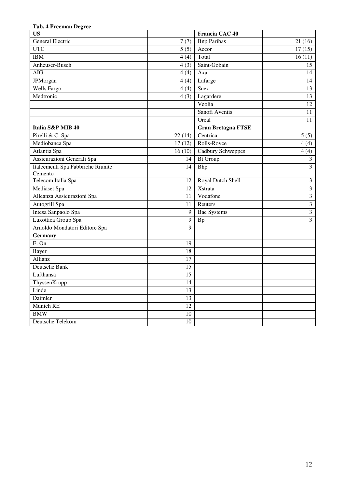| 1 ab. 4 Freeman Degree            |                   |                           |                         |
|-----------------------------------|-------------------|---------------------------|-------------------------|
| <b>US</b>                         |                   | Francia CAC 40            |                         |
| General Electric                  | 7(7)              | <b>Bnp Paribas</b>        | 21(16)                  |
| <b>UTC</b>                        | $\overline{5(5)}$ | Accor                     | 17(15)                  |
| <b>IBM</b>                        | 4(4)              | Total                     | 16(11)                  |
| Anheuser-Busch                    | 4(3)              | Saint-Gobain              | 15                      |
| <b>AIG</b>                        | 4(4)              | Axa                       | 14                      |
| <b>JPMorgan</b>                   | 4(4)              | Lafarge                   | 14                      |
| Wells Fargo                       | 4(4)              | Suez                      | 13                      |
| Medtronic                         | 4(3)              | Lagardere                 | 13                      |
|                                   |                   | Veolia                    | 12                      |
|                                   |                   | Sanofi Aventis            | 11                      |
|                                   |                   | Oreal                     | 11                      |
| Italia S&P MIB 40                 |                   | <b>Gran Bretagna FTSE</b> |                         |
| Pirelli & C. Spa                  | 22(14)            | Centrica                  | 5(5)                    |
| Mediobanca Spa                    | 17(12)            | Rolls-Royce               | 4(4)                    |
| Atlantia Spa                      | 16(10)            | Cadbury Schweppes         | 4(4)                    |
| Assicurazioni Generali Spa        | 14                | <b>Bt Group</b>           | $\mathfrak{Z}$          |
| Italcementi Spa Fabbriche Riunite | 14                | Bhp                       | $\overline{3}$          |
| Cemento                           |                   |                           |                         |
| Telecom Italia Spa                | 12                | Royal Dutch Shell         | $\mathfrak{Z}$          |
| Mediaset Spa                      | $\overline{12}$   | Xstrata                   | $\overline{3}$          |
| Alleanza Assicurazioni Spa        | 11                | Vodafone                  | $\overline{3}$          |
| Autogrill Spa                     | 11                | Reuters                   | $\overline{\mathbf{3}}$ |
| Intesa Sanpaolo Spa               | 9                 | <b>Bae Systems</b>        | $\overline{3}$          |
| Luxottica Group Spa               | 9                 | <b>Bp</b>                 | $\overline{3}$          |
| Arnoldo Mondatori Editore Spa     | 9                 |                           |                         |
| <b>Germany</b>                    |                   |                           |                         |
| E. On                             | 19                |                           |                         |
| <b>Bayer</b>                      | 18                |                           |                         |
| Allianz                           | 17                |                           |                         |
| Deutsche Bank                     | 15                |                           |                         |
| Lufthansa                         | 15                |                           |                         |
| ThyssenKrupp                      | 14                |                           |                         |
| Linde                             | $\overline{13}$   |                           |                         |
| Daimler                           | 13                |                           |                         |
| Munich RE                         | 12                |                           |                         |
| <b>BMW</b>                        | $10\,$            |                           |                         |
| Deutsche Telekom                  | $10\,$            |                           |                         |

#### **Tab. 4 Freeman Degree**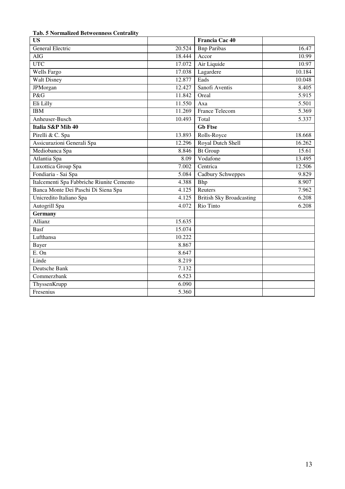# **Tab. 5 Normalized Betweenness Centrality**

| <b>US</b>                                 |        | Francia Cac 40                  |        |
|-------------------------------------------|--------|---------------------------------|--------|
| <b>General Electric</b>                   | 20.524 | <b>Bnp Paribas</b>              | 16.47  |
| <b>AIG</b>                                | 18.444 | Accor                           | 10.99  |
| <b>UTC</b>                                | 17.072 | Air Liquide                     | 10.97  |
| Wells Fargo                               | 17.038 | Lagardere                       | 10.184 |
| <b>Walt Disney</b>                        | 12.877 | Eads                            | 10.048 |
| JPMorgan                                  | 12.427 | Sanofi Aventis                  | 8.405  |
| P&G                                       | 11.842 | Oreal                           | 5.915  |
| Eli Lilly                                 | 11.550 | Axa                             | 5.501  |
| <b>IBM</b>                                | 11.269 | <b>France Telecom</b>           | 5.369  |
| Anheuser-Busch                            | 10.493 | Total                           | 5.337  |
| Italia S&P Mib 40                         |        | <b>Gb</b> Ftse                  |        |
| Pirelli & C. Spa                          | 13.893 | Rolls-Royce                     | 18.668 |
| Assicurazioni Generali Spa                | 12.296 | Royal Dutch Shell               | 16.262 |
| Mediobanca Spa                            | 8.846  | <b>Bt Group</b>                 | 15.61  |
| Atlantia Spa                              | 8.09   | Vodafone                        | 13.495 |
| Luxottica Group Spa                       | 7.002  | Centrica                        | 12.506 |
| Fondiaria - Sai Spa                       | 5.084  | Cadbury Schweppes               | 9.829  |
| Italcementi Spa Fabbriche Riunite Cemento | 4.388  | Bhp                             | 8.907  |
| Banca Monte Dei Paschi Di Siena Spa       | 4.125  | Reuters                         | 7.962  |
| Unicredito Italiano Spa                   | 4.125  | <b>British Sky Broadcasting</b> | 6.208  |
| Autogrill Spa                             | 4.072  | Rio Tinto                       | 6.208  |
| <b>Germany</b>                            |        |                                 |        |
| Allianz                                   | 15.635 |                                 |        |
| <b>Basf</b>                               | 15.074 |                                 |        |
| Lufthansa                                 | 10.222 |                                 |        |
| <b>Bayer</b>                              | 8.867  |                                 |        |
| E. On                                     | 8.647  |                                 |        |
| Linde                                     | 8.219  |                                 |        |
| Deutsche Bank                             | 7.132  |                                 |        |
| Commerzbank                               | 6.523  |                                 |        |
| ThyssenKrupp                              | 6.090  |                                 |        |
| Fresenius                                 | 5.360  |                                 |        |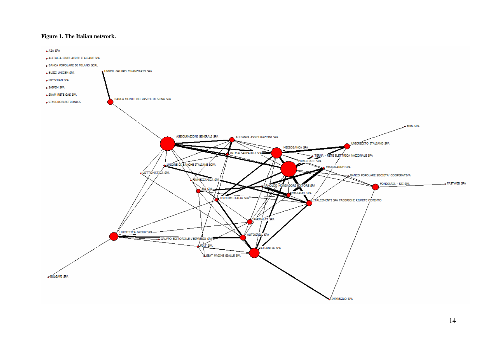#### **Figure 1. The Italian network.**

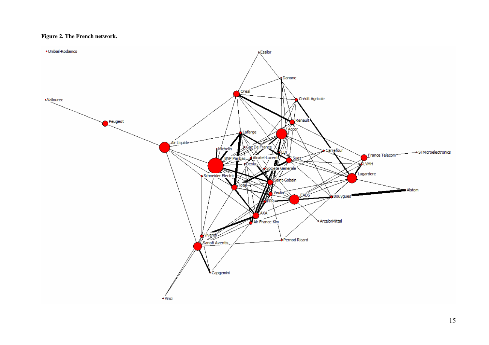#### **Figure 2. The French network.**

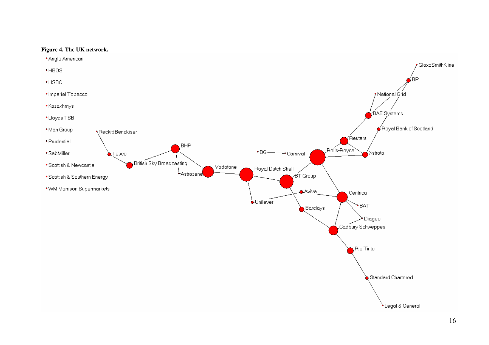

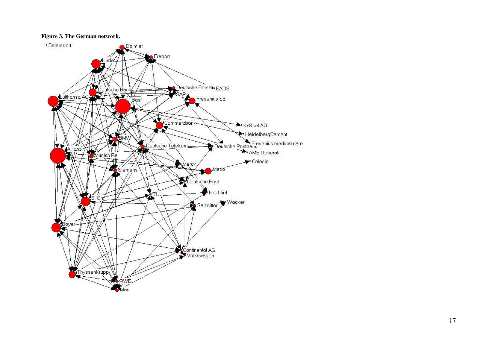### **Figure 3. The German network.**